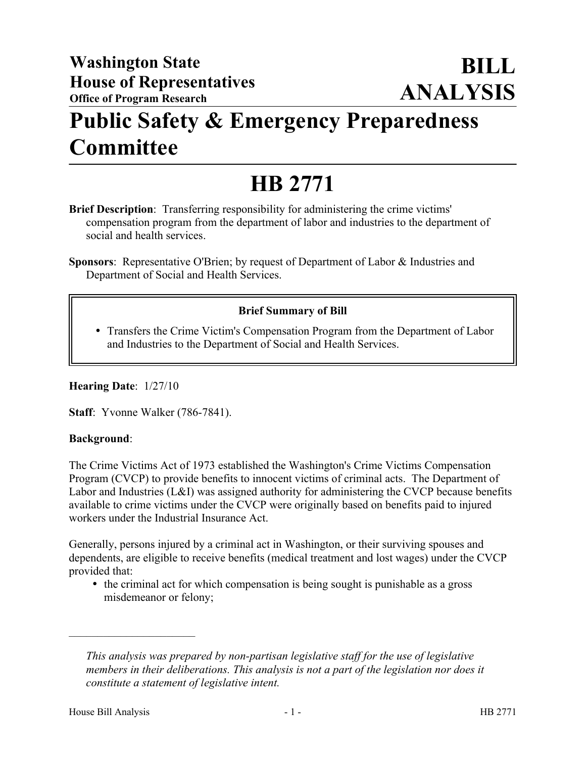## **Public Safety & Emergency Preparedness Committee**

# **HB 2771**

- **Brief Description**: Transferring responsibility for administering the crime victims' compensation program from the department of labor and industries to the department of social and health services.
- **Sponsors**: Representative O'Brien; by request of Department of Labor & Industries and Department of Social and Health Services.

### **Brief Summary of Bill**

 Transfers the Crime Victim's Compensation Program from the Department of Labor and Industries to the Department of Social and Health Services.

**Hearing Date**: 1/27/10

**Staff**: Yvonne Walker (786-7841).

#### **Background**:

The Crime Victims Act of 1973 established the Washington's Crime Victims Compensation Program (CVCP) to provide benefits to innocent victims of criminal acts. The Department of Labor and Industries (L&I) was assigned authority for administering the CVCP because benefits available to crime victims under the CVCP were originally based on benefits paid to injured workers under the Industrial Insurance Act.

Generally, persons injured by a criminal act in Washington, or their surviving spouses and dependents, are eligible to receive benefits (medical treatment and lost wages) under the CVCP provided that:

• the criminal act for which compensation is being sought is punishable as a gross misdemeanor or felony;

––––––––––––––––––––––

*This analysis was prepared by non-partisan legislative staff for the use of legislative members in their deliberations. This analysis is not a part of the legislation nor does it constitute a statement of legislative intent.*